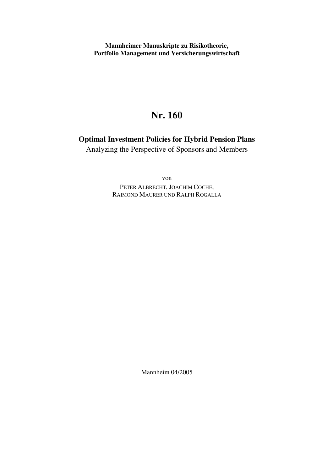**Mannheimer Manuskripte zu Risikotheorie, Portfolio Management und Versicherungswirtschaft**

# **Nr. 160**

**Optimal Investment Policies for Hybrid Pension Plans** 

Analyzing the Perspective of Sponsors and Members

von PETER ALBRECHT, JOACHIM COCHE, RAIMOND MAURER UND RALPH ROGALLA

Mannheim 04/2005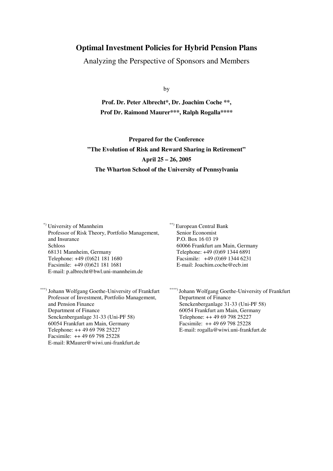## **Optimal Investment Policies for Hybrid Pension Plans**

Analyzing the Perspective of Sponsors and Members

by

**Prof. Dr. Peter Albrecht\*, Dr. Joachim Coche \*\*, Prof Dr. Raimond Maurer\*\*\*, Ralph Rogalla\*\*\*\*** 

**Prepared for the Conference "The Evolution of Risk and Reward Sharing in Retirement" April 25 – 26, 2005 The Wharton School of the University of Pennsylvania**

\*) University of Mannheim Professor of Risk Theory, Portfolio Management, and Insurance Schloss 68131 Mannheim, Germany Telephone: +49 (0)621 181 1680 Facsimile: +49 (0)621 181 1681 E-mail: p.albrecht@bwl.uni-mannheim.de

Johann Wolfgang Goethe-University of Frankfurt Professor of Investment, Portfolio Management, and Pension Finance Department of Finance Senckenberganlage 31-33 (Uni-PF 58) 60054 Frankfurt am Main, Germany Telephone: ++ 49 69 798 25227 Facsimile: ++ 49 69 798 25228 E-mail: RMaurer@wiwi.uni-frankfurt.de

\*\*) European Central Bank Senior Economist P.O. Box 16 03 19 60066 Frankfurt am Main, Germany Telephone: +49 (0)69 1344 6891 Facsimile: +49 (0)69 1344 6231 E-mail: Joachim.coche@ecb.int

\*\*\*\*) Johann Wolfgang Goethe-University of Frankfurt Department of Finance Senckenberganlage 31-33 (Uni-PF 58) 60054 Frankfurt am Main, Germany Telephone: ++ 49 69 798 25227 Facsimile: ++ 49 69 798 25228 E-mail: rogalla@wiwi.uni-frankfurt.de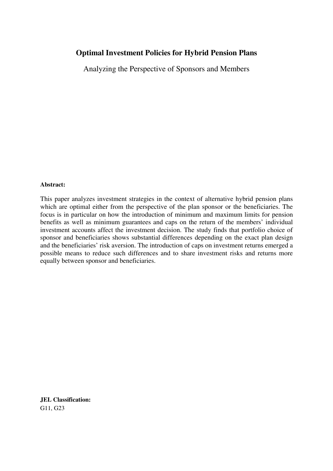## **Optimal Investment Policies for Hybrid Pension Plans**

Analyzing the Perspective of Sponsors and Members

#### **Abstract:**

This paper analyzes investment strategies in the context of alternative hybrid pension plans which are optimal either from the perspective of the plan sponsor or the beneficiaries. The focus is in particular on how the introduction of minimum and maximum limits for pension benefits as well as minimum guarantees and caps on the return of the members' individual investment accounts affect the investment decision. The study finds that portfolio choice of sponsor and beneficiaries shows substantial differences depending on the exact plan design and the beneficiaries' risk aversion. The introduction of caps on investment returns emerged a possible means to reduce such differences and to share investment risks and returns more equally between sponsor and beneficiaries.

**JEL Classification:**  G11, G23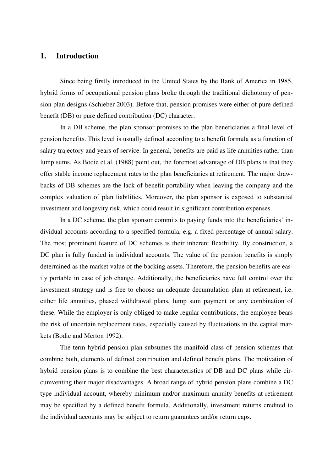## **1. Introduction**

Since being firstly introduced in the United States by the Bank of America in 1985, hybrid forms of occupational pension plans broke through the traditional dichotomy of pension plan designs (Schieber 2003). Before that, pension promises were either of pure defined benefit (DB) or pure defined contribution (DC) character.

In a DB scheme, the plan sponsor promises to the plan beneficiaries a final level of pension benefits. This level is usually defined according to a benefit formula as a function of salary trajectory and years of service. In general, benefits are paid as life annuities rather than lump sums. As Bodie et al. (1988) point out, the foremost advantage of DB plans is that they offer stable income replacement rates to the plan beneficiaries at retirement. The major drawbacks of DB schemes are the lack of benefit portability when leaving the company and the complex valuation of plan liabilities. Moreover, the plan sponsor is exposed to substantial investment and longevity risk, which could result in significant contribution expenses.

In a DC scheme, the plan sponsor commits to paying funds into the beneficiaries' individual accounts according to a specified formula, e.g. a fixed percentage of annual salary. The most prominent feature of DC schemes is their inherent flexibility. By construction, a DC plan is fully funded in individual accounts. The value of the pension benefits is simply determined as the market value of the backing assets. Therefore, the pension benefits are easily portable in case of job change. Additionally, the beneficiaries have full control over the investment strategy and is free to choose an adequate decumulation plan at retirement, i.e. either life annuities, phased withdrawal plans, lump sum payment or any combination of these. While the employer is only obliged to make regular contributions, the employee bears the risk of uncertain replacement rates, especially caused by fluctuations in the capital markets (Bodie and Merton 1992).

The term hybrid pension plan subsumes the manifold class of pension schemes that combine both, elements of defined contribution and defined benefit plans. The motivation of hybrid pension plans is to combine the best characteristics of DB and DC plans while circumventing their major disadvantages. A broad range of hybrid pension plans combine a DC type individual account, whereby minimum and/or maximum annuity benefits at retirement may be specified by a defined benefit formula. Additionally, investment returns credited to the individual accounts may be subject to return guarantees and/or return caps.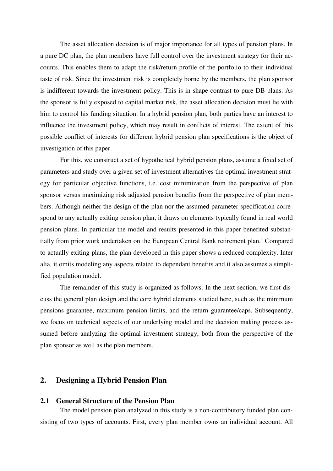The asset allocation decision is of major importance for all types of pension plans. In a pure DC plan, the plan members have full control over the investment strategy for their accounts. This enables them to adapt the risk/return profile of the portfolio to their individual taste of risk. Since the investment risk is completely borne by the members, the plan sponsor is indifferent towards the investment policy. This is in shape contrast to pure DB plans. As the sponsor is fully exposed to capital market risk, the asset allocation decision must lie with him to control his funding situation. In a hybrid pension plan, both parties have an interest to influence the investment policy, which may result in conflicts of interest. The extent of this possible conflict of interests for different hybrid pension plan specifications is the object of investigation of this paper.

For this, we construct a set of hypothetical hybrid pension plans, assume a fixed set of parameters and study over a given set of investment alternatives the optimal investment strategy for particular objective functions, i.e. cost minimization from the perspective of plan sponsor versus maximizing risk adjusted pension benefits from the perspective of plan members. Although neither the design of the plan nor the assumed parameter specification correspond to any actually exiting pension plan, it draws on elements typically found in real world pension plans. In particular the model and results presented in this paper benefited substantially from prior work undertaken on the European Central Bank retirement plan.<sup>1</sup> Compared to actually exiting plans, the plan developed in this paper shows a reduced complexity. Inter alia, it omits modeling any aspects related to dependant benefits and it also assumes a simplified population model.

The remainder of this study is organized as follows. In the next section, we first discuss the general plan design and the core hybrid elements studied here, such as the minimum pensions guarantee, maximum pension limits, and the return guarantee/caps. Subsequently, we focus on technical aspects of our underlying model and the decision making process assumed before analyzing the optimal investment strategy, both from the perspective of the plan sponsor as well as the plan members.

## **2. Designing a Hybrid Pension Plan**

#### **2.1 General Structure of the Pension Plan**

The model pension plan analyzed in this study is a non-contributory funded plan consisting of two types of accounts. First, every plan member owns an individual account. All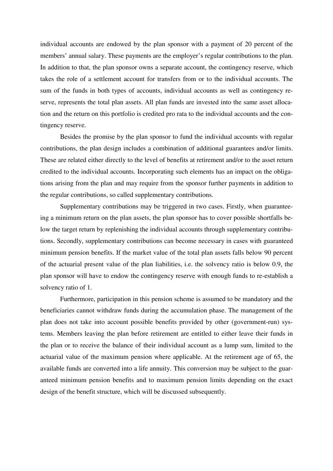individual accounts are endowed by the plan sponsor with a payment of 20 percent of the members' annual salary. These payments are the employer's regular contributions to the plan. In addition to that, the plan sponsor owns a separate account, the contingency reserve, which takes the role of a settlement account for transfers from or to the individual accounts. The sum of the funds in both types of accounts, individual accounts as well as contingency reserve, represents the total plan assets. All plan funds are invested into the same asset allocation and the return on this portfolio is credited pro rata to the individual accounts and the contingency reserve.

Besides the promise by the plan sponsor to fund the individual accounts with regular contributions, the plan design includes a combination of additional guarantees and/or limits. These are related either directly to the level of benefits at retirement and/or to the asset return credited to the individual accounts. Incorporating such elements has an impact on the obligations arising from the plan and may require from the sponsor further payments in addition to the regular contributions, so called supplementary contributions.

Supplementary contributions may be triggered in two cases. Firstly, when guaranteeing a minimum return on the plan assets, the plan sponsor has to cover possible shortfalls below the target return by replenishing the individual accounts through supplementary contributions. Secondly, supplementary contributions can become necessary in cases with guaranteed minimum pension benefits. If the market value of the total plan assets falls below 90 percent of the actuarial present value of the plan liabilities, i.e. the solvency ratio is below 0.9, the plan sponsor will have to endow the contingency reserve with enough funds to re-establish a solvency ratio of 1.

Furthermore, participation in this pension scheme is assumed to be mandatory and the beneficiaries cannot withdraw funds during the accumulation phase. The management of the plan does not take into account possible benefits provided by other (government-run) systems. Members leaving the plan before retirement are entitled to either leave their funds in the plan or to receive the balance of their individual account as a lump sum, limited to the actuarial value of the maximum pension where applicable. At the retirement age of 65, the available funds are converted into a life annuity. This conversion may be subject to the guaranteed minimum pension benefits and to maximum pension limits depending on the exact design of the benefit structure, which will be discussed subsequently.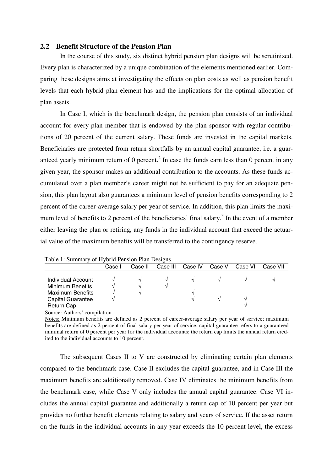#### **2.2 Benefit Structure of the Pension Plan**

In the course of this study, six distinct hybrid pension plan designs will be scrutinized. Every plan is characterized by a unique combination of the elements mentioned earlier. Comparing these designs aims at investigating the effects on plan costs as well as pension benefit levels that each hybrid plan element has and the implications for the optimal allocation of plan assets.

In Case I, which is the benchmark design, the pension plan consists of an individual account for every plan member that is endowed by the plan sponsor with regular contributions of 20 percent of the current salary. These funds are invested in the capital markets. Beneficiaries are protected from return shortfalls by an annual capital guarantee, i.e. a guaranteed yearly minimum return of 0 percent.<sup>2</sup> In case the funds earn less than 0 percent in any given year, the sponsor makes an additional contribution to the accounts. As these funds accumulated over a plan member's career might not be sufficient to pay for an adequate pension, this plan layout also guarantees a minimum level of pension benefits corresponding to 2 percent of the career-average salary per year of service. In addition, this plan limits the maximum level of benefits to 2 percent of the beneficiaries' final salary.<sup>3</sup> In the event of a member either leaving the plan or retiring, any funds in the individual account that exceed the actuarial value of the maximum benefits will be transferred to the contingency reserve.

|                         | Case I | Case II | Case III | Case IV | Case V | Case VI | Case VII |
|-------------------------|--------|---------|----------|---------|--------|---------|----------|
| Individual Account      |        | ٦Ι      |          |         |        |         |          |
| Minimum Benefits        |        |         |          |         |        |         |          |
| <b>Maximum Benefits</b> |        |         |          |         |        |         |          |
| Capital Guarantee       |        |         |          |         |        |         |          |
| <b>Return Cap</b>       |        |         |          |         |        |         |          |

Table 1: Summary of Hybrid Pension Plan Designs

Source: Authors' compilation.

Notes: Minimum benefits are defined as 2 percent of career-average salary per year of service; maximum benefits are defined as 2 percent of final salary per year of service; capital guarantee refers to a guaranteed minimal return of 0 percent per year for the individual accounts; the return cap limits the annual return credited to the individual accounts to 10 percent.

The subsequent Cases II to V are constructed by eliminating certain plan elements compared to the benchmark case. Case II excludes the capital guarantee, and in Case III the maximum benefits are additionally removed. Case IV eliminates the minimum benefits from the benchmark case, while Case V only includes the annual capital guarantee. Case VI includes the annual capital guarantee and additionally a return cap of 10 percent per year but provides no further benefit elements relating to salary and years of service. If the asset return on the funds in the individual accounts in any year exceeds the 10 percent level, the excess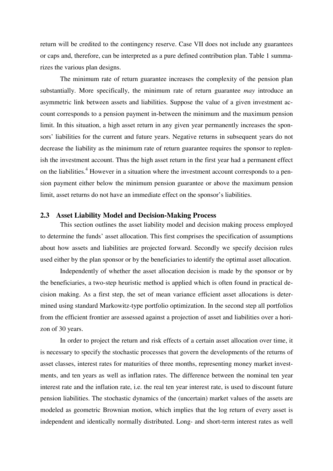return will be credited to the contingency reserve. Case VII does not include any guarantees or caps and, therefore, can be interpreted as a pure defined contribution plan. Table 1 summarizes the various plan designs.

The minimum rate of return guarantee increases the complexity of the pension plan substantially. More specifically, the minimum rate of return guarantee *may* introduce an asymmetric link between assets and liabilities. Suppose the value of a given investment account corresponds to a pension payment in-between the minimum and the maximum pension limit. In this situation, a high asset return in any given year permanently increases the sponsors' liabilities for the current and future years. Negative returns in subsequent years do not decrease the liability as the minimum rate of return guarantee requires the sponsor to replenish the investment account. Thus the high asset return in the first year had a permanent effect on the liabilities.<sup>4</sup> However in a situation where the investment account corresponds to a pension payment either below the minimum pension guarantee or above the maximum pension limit, asset returns do not have an immediate effect on the sponsor's liabilities.

#### **2.3 Asset Liability Model and Decision-Making Process**

This section outlines the asset liability model and decision making process employed to determine the funds' asset allocation. This first comprises the specification of assumptions about how assets and liabilities are projected forward. Secondly we specify decision rules used either by the plan sponsor or by the beneficiaries to identify the optimal asset allocation.

Independently of whether the asset allocation decision is made by the sponsor or by the beneficiaries, a two-step heuristic method is applied which is often found in practical decision making. As a first step, the set of mean variance efficient asset allocations is determined using standard Markowitz-type portfolio optimization. In the second step all portfolios from the efficient frontier are assessed against a projection of asset and liabilities over a horizon of 30 years.

In order to project the return and risk effects of a certain asset allocation over time, it is necessary to specify the stochastic processes that govern the developments of the returns of asset classes, interest rates for maturities of three months, representing money market investments, and ten years as well as inflation rates. The difference between the nominal ten year interest rate and the inflation rate, i.e. the real ten year interest rate, is used to discount future pension liabilities. The stochastic dynamics of the (uncertain) market values of the assets are modeled as geometric Brownian motion, which implies that the log return of every asset is independent and identically normally distributed. Long- and short-term interest rates as well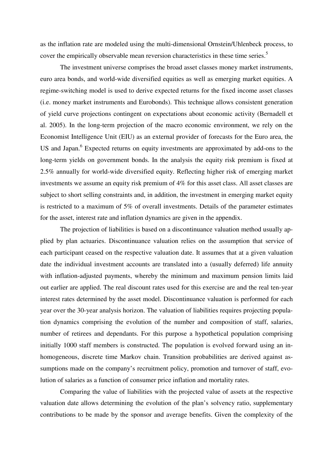as the inflation rate are modeled using the multi-dimensional Ornstein/Uhlenbeck process, to cover the empirically observable mean reversion characteristics in these time series.<sup>5</sup>

The investment universe comprises the broad asset classes money market instruments, euro area bonds, and world-wide diversified equities as well as emerging market equities. A regime-switching model is used to derive expected returns for the fixed income asset classes (i.e. money market instruments and Eurobonds). This technique allows consistent generation of yield curve projections contingent on expectations about economic activity (Bernadell et al. 2005). In the long-term projection of the macro economic environment, we rely on the Economist Intelligence Unit (EIU) as an external provider of forecasts for the Euro area, the US and Japan.<sup>6</sup> Expected returns on equity investments are approximated by add-ons to the long-term yields on government bonds. In the analysis the equity risk premium is fixed at 2.5% annually for world-wide diversified equity. Reflecting higher risk of emerging market investments we assume an equity risk premium of 4% for this asset class. All asset classes are subject to short selling constraints and, in addition, the investment in emerging market equity is restricted to a maximum of 5% of overall investments. Details of the parameter estimates for the asset, interest rate and inflation dynamics are given in the appendix.

The projection of liabilities is based on a discontinuance valuation method usually applied by plan actuaries. Discontinuance valuation relies on the assumption that service of each participant ceased on the respective valuation date. It assumes that at a given valuation date the individual investment accounts are translated into a (usually deferred) life annuity with inflation-adjusted payments, whereby the minimum and maximum pension limits laid out earlier are applied. The real discount rates used for this exercise are and the real ten-year interest rates determined by the asset model. Discontinuance valuation is performed for each year over the 30-year analysis horizon. The valuation of liabilities requires projecting population dynamics comprising the evolution of the number and composition of staff, salaries, number of retirees and dependants. For this purpose a hypothetical population comprising initially 1000 staff members is constructed. The population is evolved forward using an inhomogeneous, discrete time Markov chain. Transition probabilities are derived against assumptions made on the company's recruitment policy, promotion and turnover of staff, evolution of salaries as a function of consumer price inflation and mortality rates.

Comparing the value of liabilities with the projected value of assets at the respective valuation date allows determining the evolution of the plan's solvency ratio, supplementary contributions to be made by the sponsor and average benefits. Given the complexity of the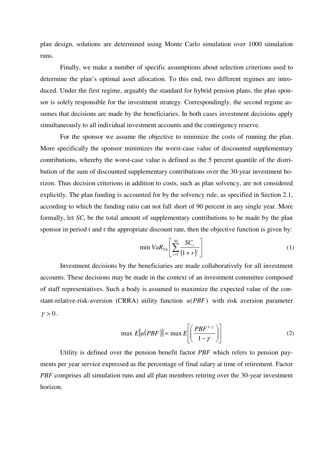plan design, solutions are determined using Monte Carlo simulation over 1000 simulation runs.

Finally, we make a number of specific assumptions about selection criterions used to determine the plan's optimal asset allocation. To this end, two different regimes are introduced. Under the first regime, arguably the standard for hybrid pension plans, the plan sponsor is solely responsible for the investment strategy. Correspondingly, the second regime assumes that decisions are made by the beneficiaries. In both cases investment decisions apply simultaneously to all individual investment accounts and the contingency reserve.

For the sponsor we assume the objective to minimize the costs of running the plan. More specifically the sponsor minimizes the worst-case value of discounted supplementary contributions, whereby the worst-case value is defined as the 5 percent quantile of the distribution of the sum of discounted supplementary contributions over the 30-year investment horizon. Thus decision criterions in addition to costs, such as plan solvency, are not considered explicitly. The plan funding is accounted for by the solvency rule, as specified in Section 2.1, according to which the funding ratio can not fall short of 90 percent in any single year. More formally, let  $SC<sub>t</sub>$  be the total amount of supplementary contributions to be made by the plan sponsor in period t and r the appropriate discount rate, then the objective function is given by:

$$
\min \text{VaR}_{5\%} \left[ \sum_{t=1}^{30} \frac{SC_t}{\left(1+r\right)^t} \right] \tag{1}
$$

Investment decisions by the beneficiaries are made collaboratively for all investment accounts. These decisions may be made in the context of an investment committee composed of staff representatives. Such a body is assumed to maximize the expected value of the constant-relative-risk-aversion (CRRA) utility function *u*(*PBF*) with risk aversion parameter  $\gamma > 0$ .

$$
\max E[u(PBF)] = \max E\left[\left(\frac{PBF^{1-\gamma}}{1-\gamma}\right)\right]
$$
 (2)

Utility is defined over the pension benefit factor *PBF* which refers to pension payments per year service expressed as the percentage of final salary at time of retirement. Factor *PBF* comprises all simulation runs and all plan members retiring over the 30-year investment horizon.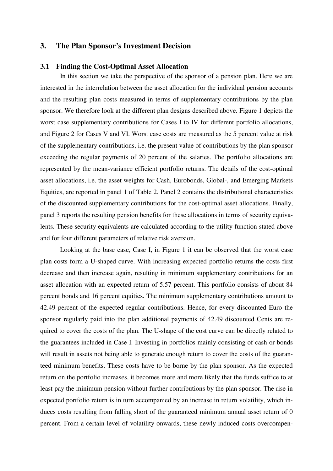#### **3. The Plan Sponsor's Investment Decision**

#### **3.1 Finding the Cost-Optimal Asset Allocation**

In this section we take the perspective of the sponsor of a pension plan. Here we are interested in the interrelation between the asset allocation for the individual pension accounts and the resulting plan costs measured in terms of supplementary contributions by the plan sponsor. We therefore look at the different plan designs described above. Figure 1 depicts the worst case supplementary contributions for Cases I to IV for different portfolio allocations, and Figure 2 for Cases V and VI. Worst case costs are measured as the 5 percent value at risk of the supplementary contributions, i.e. the present value of contributions by the plan sponsor exceeding the regular payments of 20 percent of the salaries. The portfolio allocations are represented by the mean-variance efficient portfolio returns. The details of the cost-optimal asset allocations, i.e. the asset weights for Cash, Eurobonds, Global-, and Emerging Markets Equities, are reported in panel 1 of Table 2. Panel 2 contains the distributional characteristics of the discounted supplementary contributions for the cost-optimal asset allocations. Finally, panel 3 reports the resulting pension benefits for these allocations in terms of security equivalents. These security equivalents are calculated according to the utility function stated above and for four different parameters of relative risk aversion.

Looking at the base case, Case I, in Figure 1 it can be observed that the worst case plan costs form a U-shaped curve. With increasing expected portfolio returns the costs first decrease and then increase again, resulting in minimum supplementary contributions for an asset allocation with an expected return of 5.57 percent. This portfolio consists of about 84 percent bonds and 16 percent equities. The minimum supplementary contributions amount to 42.49 percent of the expected regular contributions. Hence, for every discounted Euro the sponsor regularly paid into the plan additional payments of 42.49 discounted Cents are required to cover the costs of the plan. The U-shape of the cost curve can be directly related to the guarantees included in Case I. Investing in portfolios mainly consisting of cash or bonds will result in assets not being able to generate enough return to cover the costs of the guaranteed minimum benefits. These costs have to be borne by the plan sponsor. As the expected return on the portfolio increases, it becomes more and more likely that the funds suffice to at least pay the minimum pension without further contributions by the plan sponsor. The rise in expected portfolio return is in turn accompanied by an increase in return volatility, which induces costs resulting from falling short of the guaranteed minimum annual asset return of 0 percent. From a certain level of volatility onwards, these newly induced costs overcompen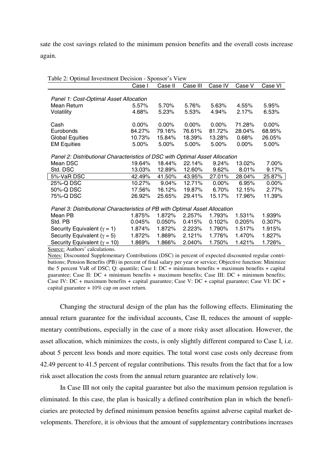sate the cost savings related to the minimum pension benefits and the overall costs increase again.

| Table 2: Optimal Investment Decision - Sponsor's View                        |          |           |          |          |          |          |  |  |
|------------------------------------------------------------------------------|----------|-----------|----------|----------|----------|----------|--|--|
|                                                                              | Case I   | Case II   | Case III | Case IV  | Case V   | Case VI  |  |  |
|                                                                              |          |           |          |          |          |          |  |  |
| Panel 1: Cost-Optimal Asset Allocation                                       |          |           |          |          |          |          |  |  |
| Mean Return                                                                  | 5.57%    | 5.70%     | 5.76%    | 5.63%    | 4.55%    | 5.95%    |  |  |
| Volatility                                                                   | 4.68%    | 5.23%     | 5.53%    | 4.94%    | 2.17%    | 6.53%    |  |  |
| Cash                                                                         | $0.00\%$ | $0.00\%$  | $0.00\%$ | $0.00\%$ | 71.28%   | 0.00%    |  |  |
| Eurobonds                                                                    | 84.27%   | 79.16%    | 76.61%   | 81.72%   | 28.04%   | 68.95%   |  |  |
| <b>Global Equities</b>                                                       | 10.73%   | 15.84%    | 18.39%   | 13.28%   | 0.68%    | 26.05%   |  |  |
| <b>EM Equities</b>                                                           | 5.00%    | 5.00%     | 5.00%    | 5.00%    | $0.00\%$ | 5.00%    |  |  |
|                                                                              |          |           |          |          |          |          |  |  |
| Panel 2: Distributional Characteristics of DSC with Optimal Asset Allocation |          |           |          |          |          |          |  |  |
| Mean DSC                                                                     | 19.64%   | 18.44%    | 22.14%   | 9.24%    | 13.02%   | 7.00%    |  |  |
| Std. DSC                                                                     | 13.03%   | 12.89%    | 12.60%   | 9.62%    | 8.01%    | 9.17%    |  |  |
| 5%-VaR DSC                                                                   | 42.49%   | 41.50%    | 43.95%   | 27.01%   | 28.04%   | 25.87%   |  |  |
| 25%-Q DSC                                                                    | 10.27%   | 9.04%     | 12.71%   | $0.00\%$ | 6.95%    | $0.00\%$ |  |  |
| 50%-Q DSC                                                                    | 17.56%   | 16.12%    | 19.87%   | 6.70%    | 12.15%   | 2.77%    |  |  |
| 75%-Q DSC                                                                    | 26.92%   | 25.65%    | 29.41%   | 15.17%   | 17.96%   | 11.39%   |  |  |
|                                                                              |          |           |          |          |          |          |  |  |
| Panel 3: Distributional Characteristics of PB with Optimal Asset Allocation  |          |           |          | 1.793%   |          |          |  |  |
| Mean PB                                                                      | 1.875%   | 1.872%    | 2.257%   |          | 1.531%   | 1.939%   |  |  |
| Std. PB                                                                      | 0.045%   | $0.050\%$ | 0.415%   | 0.102%   | 0.205%   | 0.307%   |  |  |
| Security Equivalent ( $\gamma = 1$ )                                         | 1.874%   | 1.872%    | 2.223%   | 1.790%   | 1.517%   | 1.915%   |  |  |
| Security Equivalent ( $\gamma = 5$ )                                         | 1.872%   | 1.869%    | 2.121%   | 1.776%   | 1.470%   | 1.827%   |  |  |
| Security Equivalent ( $\gamma$ = 10)                                         | 1.869%   | 1.866%    | 2.040%   | 1.750%   | 1.421%   | 1.726%   |  |  |
| Source: Authors' calculations.                                               |          |           |          |          |          |          |  |  |

Notes: Discounted Supplementary Contributions (DSC) in percent of expected discounted regular contributions; Pension Benefits (PB) in percent of final salary per year or service; Objective function: Minimize the 5 percent VaR of DSC; Q: quantile; Case I: DC + minimum benefits + maximum benefits + capital guarantee; Case II:  $DC + minimum$  benefits + maximum benefits; Case III:  $DC + minimum$  benefits; Case IV: DC + maximum benefits + capital guarantee; Case V: DC + capital guarantee; Case VI: DC + capital guarantee + 10% cap on asset return.

Changing the structural design of the plan has the following effects. Eliminating the annual return guarantee for the individual accounts, Case II, reduces the amount of supplementary contributions, especially in the case of a more risky asset allocation. However, the asset allocation, which minimizes the costs, is only slightly different compared to Case I, i.e. about 5 percent less bonds and more equities. The total worst case costs only decrease from 42.49 percent to 41.5 percent of regular contributions. This results from the fact that for a low risk asset allocation the costs from the annual return guarantee are relatively low.

In Case III not only the capital guarantee but also the maximum pension regulation is eliminated. In this case, the plan is basically a defined contribution plan in which the beneficiaries are protected by defined minimum pension benefits against adverse capital market developments. Therefore, it is obvious that the amount of supplementary contributions increases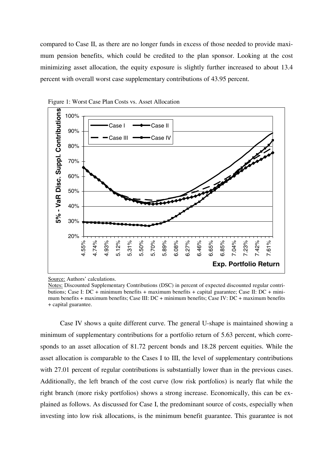compared to Case II, as there are no longer funds in excess of those needed to provide maximum pension benefits, which could be credited to the plan sponsor. Looking at the cost minimizing asset allocation, the equity exposure is slightly further increased to about 13.4 percent with overall worst case supplementary contributions of 43.95 percent.





Case IV shows a quite different curve. The general U-shape is maintained showing a minimum of supplementary contributions for a portfolio return of 5.63 percent, which corresponds to an asset allocation of 81.72 percent bonds and 18.28 percent equities. While the asset allocation is comparable to the Cases I to III, the level of supplementary contributions with 27.01 percent of regular contributions is substantially lower than in the previous cases. Additionally, the left branch of the cost curve (low risk portfolios) is nearly flat while the right branch (more risky portfolios) shows a strong increase. Economically, this can be explained as follows. As discussed for Case I, the predominant source of costs, especially when investing into low risk allocations, is the minimum benefit guarantee. This guarantee is not

Source: Authors' calculations.

Notes: Discounted Supplementary Contributions (DSC) in percent of expected discounted regular contributions; Case I: DC + minimum benefits + maximum benefits + capital guarantee; Case II: DC + minimum benefits + maximum benefits; Case III: DC + minimum benefits; Case IV: DC + maximum benefits + capital guarantee.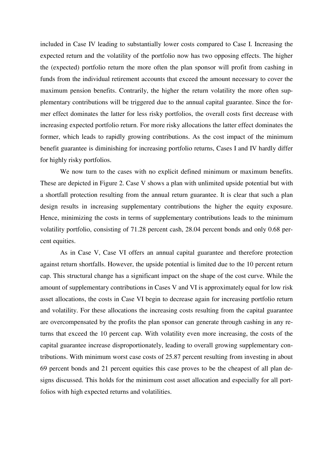included in Case IV leading to substantially lower costs compared to Case I. Increasing the expected return and the volatility of the portfolio now has two opposing effects. The higher the (expected) portfolio return the more often the plan sponsor will profit from cashing in funds from the individual retirement accounts that exceed the amount necessary to cover the maximum pension benefits. Contrarily, the higher the return volatility the more often supplementary contributions will be triggered due to the annual capital guarantee. Since the former effect dominates the latter for less risky portfolios, the overall costs first decrease with increasing expected portfolio return. For more risky allocations the latter effect dominates the former, which leads to rapidly growing contributions. As the cost impact of the minimum benefit guarantee is diminishing for increasing portfolio returns, Cases I and IV hardly differ for highly risky portfolios.

We now turn to the cases with no explicit defined minimum or maximum benefits. These are depicted in Figure 2. Case V shows a plan with unlimited upside potential but with a shortfall protection resulting from the annual return guarantee. It is clear that such a plan design results in increasing supplementary contributions the higher the equity exposure. Hence, minimizing the costs in terms of supplementary contributions leads to the minimum volatility portfolio, consisting of 71.28 percent cash, 28.04 percent bonds and only 0.68 percent equities.

As in Case V, Case VI offers an annual capital guarantee and therefore protection against return shortfalls. However, the upside potential is limited due to the 10 percent return cap. This structural change has a significant impact on the shape of the cost curve. While the amount of supplementary contributions in Cases V and VI is approximately equal for low risk asset allocations, the costs in Case VI begin to decrease again for increasing portfolio return and volatility. For these allocations the increasing costs resulting from the capital guarantee are overcompensated by the profits the plan sponsor can generate through cashing in any returns that exceed the 10 percent cap. With volatility even more increasing, the costs of the capital guarantee increase disproportionately, leading to overall growing supplementary contributions. With minimum worst case costs of 25.87 percent resulting from investing in about 69 percent bonds and 21 percent equities this case proves to be the cheapest of all plan designs discussed. This holds for the minimum cost asset allocation and especially for all portfolios with high expected returns and volatilities.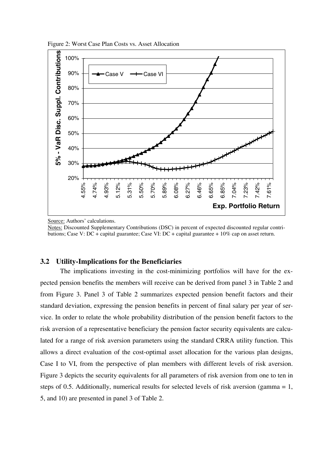

Figure 2: Worst Case Plan Costs vs. Asset Allocation

Source: Authors' calculations.

Notes: Discounted Supplementary Contributions (DSC) in percent of expected discounted regular contributions; Case V: DC + capital guarantee; Case VI: DC + capital guarantee + 10% cap on asset return.

#### **3.2 Utility-Implications for the Beneficiaries**

The implications investing in the cost-minimizing portfolios will have for the expected pension benefits the members will receive can be derived from panel 3 in Table 2 and from Figure 3. Panel 3 of Table 2 summarizes expected pension benefit factors and their standard deviation, expressing the pension benefits in percent of final salary per year of service. In order to relate the whole probability distribution of the pension benefit factors to the risk aversion of a representative beneficiary the pension factor security equivalents are calculated for a range of risk aversion parameters using the standard CRRA utility function. This allows a direct evaluation of the cost-optimal asset allocation for the various plan designs, Case I to VI, from the perspective of plan members with different levels of risk aversion. Figure 3 depicts the security equivalents for all parameters of risk aversion from one to ten in steps of 0.5. Additionally, numerical results for selected levels of risk aversion (gamma = 1, 5, and 10) are presented in panel 3 of Table 2.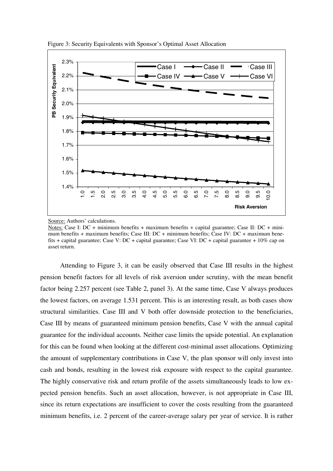

Figure 3: Security Equivalents with Sponsor's Optimal Asset Allocation

Attending to Figure 3, it can be easily observed that Case III results in the highest pension benefit factors for all levels of risk aversion under scrutiny, with the mean benefit factor being 2.257 percent (see Table 2, panel 3). At the same time, Case V always produces the lowest factors, on average 1.531 percent. This is an interesting result, as both cases show structural similarities. Case III and V both offer downside protection to the beneficiaries, Case III by means of guaranteed minimum pension benefits, Case V with the annual capital guarantee for the individual accounts. Neither case limits the upside potential. An explanation for this can be found when looking at the different cost-minimal asset allocations. Optimizing the amount of supplementary contributions in Case V, the plan sponsor will only invest into cash and bonds, resulting in the lowest risk exposure with respect to the capital guarantee. The highly conservative risk and return profile of the assets simultaneously leads to low expected pension benefits. Such an asset allocation, however, is not appropriate in Case III, since its return expectations are insufficient to cover the costs resulting from the guaranteed minimum benefits, i.e. 2 percent of the career-average salary per year of service. It is rather

Source: Authors' calculations.

Notes: Case I: DC + minimum benefits + maximum benefits + capital guarantee; Case II: DC + minimum benefits + maximum benefits; Case III: DC + minimum benefits; Case IV: DC + maximum benefits + capital guarantee; Case V: DC + capital guarantee; Case VI: DC + capital guarantee + 10% cap on asset return.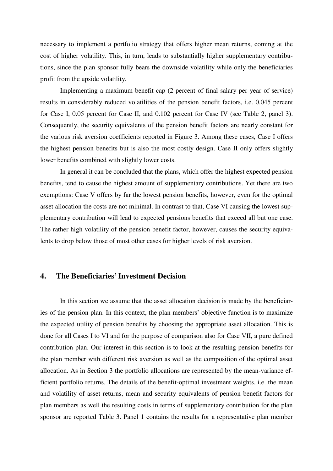necessary to implement a portfolio strategy that offers higher mean returns, coming at the cost of higher volatility. This, in turn, leads to substantially higher supplementary contributions, since the plan sponsor fully bears the downside volatility while only the beneficiaries profit from the upside volatility.

Implementing a maximum benefit cap (2 percent of final salary per year of service) results in considerably reduced volatilities of the pension benefit factors, i.e. 0.045 percent for Case I, 0.05 percent for Case II, and 0.102 percent for Case IV (see Table 2, panel 3). Consequently, the security equivalents of the pension benefit factors are nearly constant for the various risk aversion coefficients reported in Figure 3. Among these cases, Case I offers the highest pension benefits but is also the most costly design. Case II only offers slightly lower benefits combined with slightly lower costs.

In general it can be concluded that the plans, which offer the highest expected pension benefits, tend to cause the highest amount of supplementary contributions. Yet there are two exemptions: Case V offers by far the lowest pension benefits, however, even for the optimal asset allocation the costs are not minimal. In contrast to that, Case VI causing the lowest supplementary contribution will lead to expected pensions benefits that exceed all but one case. The rather high volatility of the pension benefit factor, however, causes the security equivalents to drop below those of most other cases for higher levels of risk aversion.

## **4. The Beneficiaries' Investment Decision**

In this section we assume that the asset allocation decision is made by the beneficiaries of the pension plan. In this context, the plan members' objective function is to maximize the expected utility of pension benefits by choosing the appropriate asset allocation. This is done for all Cases I to VI and for the purpose of comparison also for Case VII, a pure defined contribution plan. Our interest in this section is to look at the resulting pension benefits for the plan member with different risk aversion as well as the composition of the optimal asset allocation. As in Section 3 the portfolio allocations are represented by the mean-variance efficient portfolio returns. The details of the benefit-optimal investment weights, i.e. the mean and volatility of asset returns, mean and security equivalents of pension benefit factors for plan members as well the resulting costs in terms of supplementary contribution for the plan sponsor are reported Table 3. Panel 1 contains the results for a representative plan member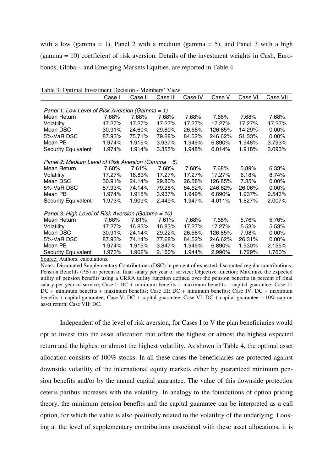with a low (gamma = 1), Panel 2 with a medium (gamma = 5), and Panel 3 with a high (gamma = 10) coefficient of risk aversion. Details of the investment weights in Cash, Eurobonds, Global-, and Emerging Markets Equities, are reported in Table 4.

| I avie 5. Optimal investment Decision - intendent<br>V ICW |        |         |          |         |         |         |          |  |  |
|------------------------------------------------------------|--------|---------|----------|---------|---------|---------|----------|--|--|
|                                                            | Case I | Case II | Case III | Case IV | Case V  | Case VI | Case VII |  |  |
|                                                            |        |         |          |         |         |         |          |  |  |
| Panel 1: Low Level of Risk Aversion (Gamma = 1)            |        |         |          |         |         |         |          |  |  |
| Mean Return                                                | 7.68%  | 7.68%   | 7.68%    | 7.68%   | 7.68%   | 7.68%   | 7.68%    |  |  |
| Volatility                                                 | 17.27% | 17.27%  | 17.27%   | 17.27%  | 17.27%  | 17.27%  | 17.27%   |  |  |
| Mean DSC                                                   | 30.91% | 24.60%  | 29.80%   | 26.58%  | 126.85% | 14.29%  | $0.00\%$ |  |  |
| 5%-VaR DSC                                                 | 87.93% | 75.71%  | 79.28%   | 84.52%  | 246.62% | 51.33%  | $0.00\%$ |  |  |
| Mean PB                                                    | 1.974% | 1.915%  | 3.937%   | 1.949%  | 6.890%  | 1.948%  | 3.793%   |  |  |
| <b>Security Equivalent</b>                                 | 1.974% | 1.914%  | 3.355%   | 1.948%  | 6.014%  | 1.918%  | 3.093%   |  |  |
|                                                            |        |         |          |         |         |         |          |  |  |
| Panel 2: Medium Level of Risk Aversion (Gamma = 5)         |        |         |          |         |         |         |          |  |  |
| Mean Return                                                | 7.68%  | 7.61%   | 7.68%    | 7.68%   | 7.68%   | 5.89%   | 6.33%    |  |  |
| Volatility                                                 | 17.27% | 16.83%  | 17.27%   | 17.27%  | 17.27%  | 6.18%   | 8.74%    |  |  |
| Mean DSC                                                   | 30.91% | 24.14%  | 29.80%   | 26.58%  | 126.85% | 7.35%   | $0.00\%$ |  |  |
| 5%-VaR DSC                                                 | 87.93% | 74.14%  | 79.28%   | 84.52%  | 246.62% | 26.06%  | $0.00\%$ |  |  |
| Mean PB                                                    | 1.974% | 1.915%  | 3.937%   | 1.949%  | 6.890%  | 1.937%  | 2.543%   |  |  |
| <b>Security Equivalent</b>                                 | 1.973% | 1.909%  | 2.449%   | 1.947%  | 4.011%  | 1.827%  | 2.007%   |  |  |
|                                                            |        |         |          |         |         |         |          |  |  |
| Panel 3: High Level of Risk Aversion (Gamma = 10)          |        |         |          |         |         |         |          |  |  |
| Mean Return                                                | 7.68%  | 7.61%   | 7.61%    | 7.68%   | 7.68%   | 5.76%   | 5.76%    |  |  |
| Volatility                                                 | 17.27% | 16.83%  | 16.83%   | 17.27%  | 17.27%  | 5.53%   | 5.53%    |  |  |
| Mean DSC                                                   | 30.91% | 24.14%  | 29.22%   | 26.58%  | 126.85% | 7.98%   | $0.00\%$ |  |  |
| 5%-VaR DSC                                                 | 87.93% | 74.14%  | 77.68%   | 84.52%  | 246.62% | 26.31%  | $0.00\%$ |  |  |
| Mean PB                                                    | 1.974% | 1.915%  | 3.847%   | 1.949%  | 6.890%  | 1.930%  | 2.155%   |  |  |
| <b>Security Equivalent</b>                                 | 1.973% | 1.902%  | 2.160%   | 1.944%  | 2.990%  | 1.729%  | 1.760%   |  |  |

Table 3: Optimal Investment Decision - Members' View

Source: Authors' calculations.

Notes: Discounted Supplementary Contributions (DSC) in percent of expected discounted regular contributions; Pension Benefits (PB) in percent of final salary per year of service; Objective function: Maximize the expected utility of pension benefits using a CRRA utility function defined over the pension benefits in percent of final salary per year of service; Case I: DC + minimum benefits + maximum benefits + capital guarantee; Case II: DC + minimum benefits + maximum benefits; Case III: DC + minimum benefits; Case IV: DC + maximum benefits + capital guarantee; Case V: DC + capital guarantee; Case VI: DC + capital guarantee + 10% cap on asset return; Case VII: DC.

Independent of the level of risk aversion, for Cases I to V the plan beneficiaries would opt to invest into the asset allocation that offers the highest or almost the highest expected return and the highest or almost the highest volatility. As shown in Table 4, the optimal asset allocation consists of 100% stocks. In all these cases the beneficiaries are protected against downside volatility of the international equity markets either by guaranteed minimum pension benefits and/or by the annual capital guarantee. The value of this downside protection ceteris paribus increases with the volatility. In analogy to the foundations of option pricing theory, the minimum pension benefits and the capital guarantee can be interpreted as a call option, for which the value is also positively related to the volatility of the underlying. Looking at the level of supplementary contributions associated with these asset allocations, it is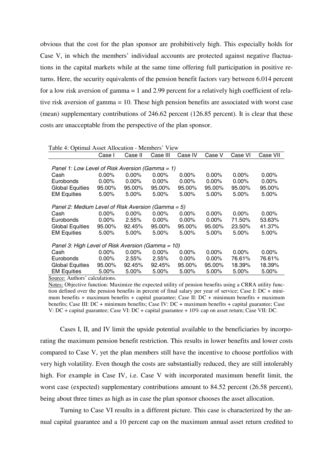obvious that the cost for the plan sponsor are prohibitively high. This especially holds for Case V, in which the members' individual accounts are protected against negative fluctuations in the capital markets while at the same time offering full participation in positive returns. Here, the security equivalents of the pension benefit factors vary between 6.014 percent for a low risk aversion of gamma = 1 and 2.99 percent for a relatively high coefficient of relative risk aversion of gamma = 10. These high pension benefits are associated with worst case (mean) supplementary contributions of 246.62 percent (126.85 percent). It is clear that these costs are unacceptable from the perspective of the plan sponsor.

| I abie 4. Optimai Asset Anocation - Members View      |          |          |          |          |          |          |          |  |  |
|-------------------------------------------------------|----------|----------|----------|----------|----------|----------|----------|--|--|
|                                                       | Case I   | Case II  | Case III | Case IV  | Case V   | Case VI  | Case VII |  |  |
|                                                       |          |          |          |          |          |          |          |  |  |
| Panel 1: Low Level of Risk Aversion (Gamma = 1)       |          |          |          |          |          |          |          |  |  |
| Cash                                                  | $0.00\%$ | $0.00\%$ | $0.00\%$ | $0.00\%$ | $0.00\%$ | $0.00\%$ | $0.00\%$ |  |  |
| Eurobonds                                             | $0.00\%$ | $0.00\%$ | $0.00\%$ | $0.00\%$ | $0.00\%$ | $0.00\%$ | $0.00\%$ |  |  |
| <b>Global Equities</b>                                | 95.00%   | 95.00%   | 95.00%   | 95.00%   | 95.00%   | 95.00%   | 95.00%   |  |  |
| <b>EM Equities</b>                                    | 5.00%    | 5.00%    | $5.00\%$ | 5.00%    | 5.00%    | $5.00\%$ | 5.00%    |  |  |
|                                                       |          |          |          |          |          |          |          |  |  |
| Panel 2: Medium Level of Risk Aversion (Gamma = $5$ ) |          |          |          |          |          |          |          |  |  |
| Cash                                                  | $0.00\%$ | $0.00\%$ | $0.00\%$ | $0.00\%$ | $0.00\%$ | $0.00\%$ | $0.00\%$ |  |  |
| Eurobonds                                             | $0.00\%$ | $2.55\%$ | $0.00\%$ | $0.00\%$ | $0.00\%$ | 71.50%   | 53.63%   |  |  |
| <b>Global Equities</b>                                | 95.00%   | 92.45%   | 95.00%   | 95.00%   | 95.00%   | 23.50%   | 41.37%   |  |  |
| <b>EM Equities</b>                                    | 5.00%    | $5.00\%$ | $5.00\%$ | 5.00%    | 5.00%    | 5.00%    | 5.00%    |  |  |
|                                                       |          |          |          |          |          |          |          |  |  |
| Panel 3: High Level of Risk Aversion (Gamma = 10)     |          |          |          |          |          |          |          |  |  |
| Cash                                                  | $0.00\%$ | $0.00\%$ | $0.00\%$ | $0.00\%$ | $0.00\%$ | $0.00\%$ | $0.00\%$ |  |  |
| Eurobonds                                             | $0.00\%$ | $2.55\%$ | $2.55\%$ | $0.00\%$ | $0.00\%$ | 76.61%   | 76.61%   |  |  |
| <b>Global Equities</b>                                | 95.00%   | 92.45%   | 92.45%   | 95.00%   | 95.00%   | 18.39%   | 18.39%   |  |  |
| <b>EM Equities</b>                                    | 5.00%    | 5.00%    | 5.00%    | 5.00%    | 5.00%    | 5.00%    | 5.00%    |  |  |
|                                                       |          |          |          |          |          |          |          |  |  |

Table 4: Optimal Asset Allocation - Members' View

Source: Authors' calculations.

Notes: Objective function: Maximize the expected utility of pension benefits using a CRRA utility function defined over the pension benefits in percent of final salary per year of service; Case I: DC + minimum benefits + maximum benefits + capital guarantee; Case II: DC + minimum benefits + maximum benefits; Case III: DC + minimum benefits; Case IV: DC + maximum benefits + capital guarantee; Case V: DC + capital guarantee; Case VI: DC + capital guarantee + 10% cap on asset return; Case VII: DC.

Cases I, II, and IV limit the upside potential available to the beneficiaries by incorporating the maximum pension benefit restriction. This results in lower benefits and lower costs compared to Case V, yet the plan members still have the incentive to choose portfolios with very high volatility. Even though the costs are substantially reduced, they are still intolerably high. For example in Case IV, i.e. Case V with incorporated maximum benefit limit, the worst case (expected) supplementary contributions amount to 84.52 percent (26.58 percent), being about three times as high as in case the plan sponsor chooses the asset allocation.

Turning to Case VI results in a different picture. This case is characterized by the annual capital guarantee and a 10 percent cap on the maximum annual asset return credited to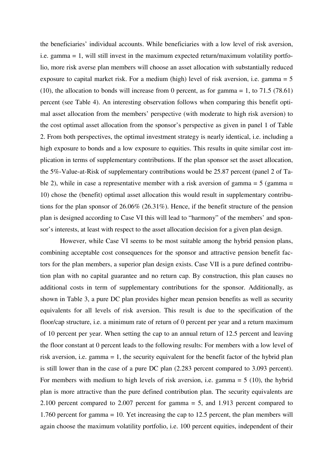the beneficiaries' individual accounts. While beneficiaries with a low level of risk aversion, i.e. gamma = 1, will still invest in the maximum expected return/maximum volatility portfolio, more risk averse plan members will choose an asset allocation with substantially reduced exposure to capital market risk. For a medium (high) level of risk aversion, i.e. gamma = 5 (10), the allocation to bonds will increase from 0 percent, as for gamma  $= 1$ , to 71.5 (78.61) percent (see Table 4). An interesting observation follows when comparing this benefit optimal asset allocation from the members' perspective (with moderate to high risk aversion) to the cost optimal asset allocation from the sponsor's perspective as given in panel 1 of Table 2. From both perspectives, the optimal investment strategy is nearly identical, i.e. including a high exposure to bonds and a low exposure to equities. This results in quite similar cost implication in terms of supplementary contributions. If the plan sponsor set the asset allocation, the 5%-Value-at-Risk of supplementary contributions would be 25.87 percent (panel 2 of Table 2), while in case a representative member with a risk aversion of gamma  $=$  5 (gamma  $=$ 10) chose the (benefit) optimal asset allocation this would result in supplementary contributions for the plan sponsor of 26.06% (26.31%). Hence, if the benefit structure of the pension plan is designed according to Case VI this will lead to "harmony" of the members' and sponsor's interests, at least with respect to the asset allocation decision for a given plan design.

However, while Case VI seems to be most suitable among the hybrid pension plans, combining acceptable cost consequences for the sponsor and attractive pension benefit factors for the plan members, a superior plan design exists. Case VII is a pure defined contribution plan with no capital guarantee and no return cap. By construction, this plan causes no additional costs in term of supplementary contributions for the sponsor. Additionally, as shown in Table 3, a pure DC plan provides higher mean pension benefits as well as security equivalents for all levels of risk aversion. This result is due to the specification of the floor/cap structure, i.e. a minimum rate of return of 0 percent per year and a return maximum of 10 percent per year. When setting the cap to an annual return of 12.5 percent and leaving the floor constant at 0 percent leads to the following results: For members with a low level of risk aversion, i.e. gamma = 1, the security equivalent for the benefit factor of the hybrid plan is still lower than in the case of a pure DC plan (2.283 percent compared to 3.093 percent). For members with medium to high levels of risk aversion, i.e. gamma = 5 (10), the hybrid plan is more attractive than the pure defined contribution plan. The security equivalents are 2.100 percent compared to 2.007 percent for gamma = 5, and 1.913 percent compared to 1.760 percent for gamma = 10. Yet increasing the cap to 12.5 percent, the plan members will again choose the maximum volatility portfolio, i.e. 100 percent equities, independent of their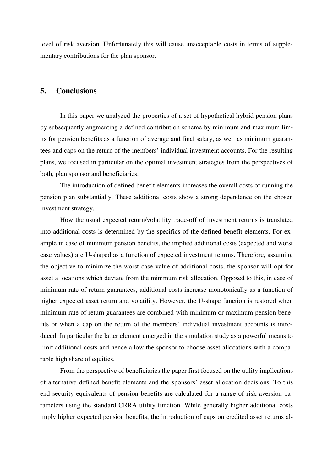level of risk aversion. Unfortunately this will cause unacceptable costs in terms of supplementary contributions for the plan sponsor.

## **5. Conclusions**

In this paper we analyzed the properties of a set of hypothetical hybrid pension plans by subsequently augmenting a defined contribution scheme by minimum and maximum limits for pension benefits as a function of average and final salary, as well as minimum guarantees and caps on the return of the members' individual investment accounts. For the resulting plans, we focused in particular on the optimal investment strategies from the perspectives of both, plan sponsor and beneficiaries.

The introduction of defined benefit elements increases the overall costs of running the pension plan substantially. These additional costs show a strong dependence on the chosen investment strategy.

How the usual expected return/volatility trade-off of investment returns is translated into additional costs is determined by the specifics of the defined benefit elements. For example in case of minimum pension benefits, the implied additional costs (expected and worst case values) are U-shaped as a function of expected investment returns. Therefore, assuming the objective to minimize the worst case value of additional costs, the sponsor will opt for asset allocations which deviate from the minimum risk allocation. Opposed to this, in case of minimum rate of return guarantees, additional costs increase monotonically as a function of higher expected asset return and volatility. However, the U-shape function is restored when minimum rate of return guarantees are combined with minimum or maximum pension benefits or when a cap on the return of the members' individual investment accounts is introduced. In particular the latter element emerged in the simulation study as a powerful means to limit additional costs and hence allow the sponsor to choose asset allocations with a comparable high share of equities.

From the perspective of beneficiaries the paper first focused on the utility implications of alternative defined benefit elements and the sponsors' asset allocation decisions. To this end security equivalents of pension benefits are calculated for a range of risk aversion parameters using the standard CRRA utility function. While generally higher additional costs imply higher expected pension benefits, the introduction of caps on credited asset returns al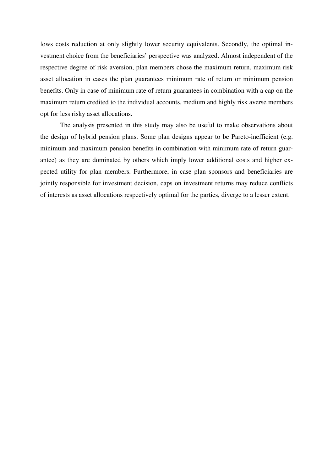lows costs reduction at only slightly lower security equivalents. Secondly, the optimal investment choice from the beneficiaries' perspective was analyzed. Almost independent of the respective degree of risk aversion, plan members chose the maximum return, maximum risk asset allocation in cases the plan guarantees minimum rate of return or minimum pension benefits. Only in case of minimum rate of return guarantees in combination with a cap on the maximum return credited to the individual accounts, medium and highly risk averse members opt for less risky asset allocations.

The analysis presented in this study may also be useful to make observations about the design of hybrid pension plans. Some plan designs appear to be Pareto-inefficient (e.g. minimum and maximum pension benefits in combination with minimum rate of return guarantee) as they are dominated by others which imply lower additional costs and higher expected utility for plan members. Furthermore, in case plan sponsors and beneficiaries are jointly responsible for investment decision, caps on investment returns may reduce conflicts of interests as asset allocations respectively optimal for the parties, diverge to a lesser extent.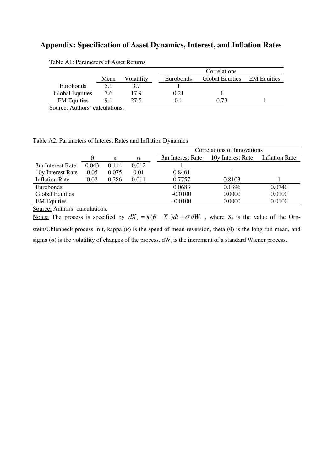## **Appendix: Specification of Asset Dynamics, Interest, and Inflation Rates**

|                        |      |            |           | Correlations           |                    |  |  |  |
|------------------------|------|------------|-----------|------------------------|--------------------|--|--|--|
|                        | Mean | Volatility | Eurobonds | <b>Global Equities</b> | <b>EM</b> Equities |  |  |  |
| Eurobonds              | 5.1  |            |           |                        |                    |  |  |  |
| <b>Global Equities</b> | 7.6  | 17.9       | 0.21      |                        |                    |  |  |  |
| <b>EM Equities</b>     |      | 27.5       | 0.1       | በ 73                   |                    |  |  |  |

Table A1: Parameters of Asset Returns

Source: Authors' calculations.

|  | Table A2: Parameters of Interest Rates and Inflation Dynamics |  |  |  |  |
|--|---------------------------------------------------------------|--|--|--|--|
|--|---------------------------------------------------------------|--|--|--|--|

|                        |       |       |          | Correlations of Innovations |                   |                       |  |
|------------------------|-------|-------|----------|-----------------------------|-------------------|-----------------------|--|
|                        | θ     | К     | $\sigma$ | 3m Interest Rate            | 10y Interest Rate | <b>Inflation Rate</b> |  |
| 3m Interest Rate       | 0.043 | 0.114 | 0.012    |                             |                   |                       |  |
| 10y Interest Rate      | 0.05  | 0.075 | 0.01     | 0.8461                      |                   |                       |  |
| <b>Inflation Rate</b>  | 0.02  | 0.286 | 0.011    | 0.7757                      | 0.8103            |                       |  |
| Eurobonds              |       |       |          | 0.0683                      | 0.1396            | 0.0740                |  |
| <b>Global Equities</b> |       |       |          | $-0.0100$                   | 0.0000            | 0.0100                |  |
| <b>EM</b> Equities     |       |       |          | $-0.0100$                   | 0.0000            | 0.0100                |  |
|                        |       |       |          |                             |                   |                       |  |

Source: Authors' calculations.

Notes: The process is specified by  $dX_t = \kappa(\theta - X_t)dt + \sigma dW_t$ , where  $X_t$  is the value of the Ornstein/Uhlenbeck process in t, kappa  $(\kappa)$  is the speed of mean-reversion, theta  $(\theta)$  is the long-run mean, and sigma (σ) is the volatility of changes of the process.  $dW_t$  is the increment of a standard Wiener process.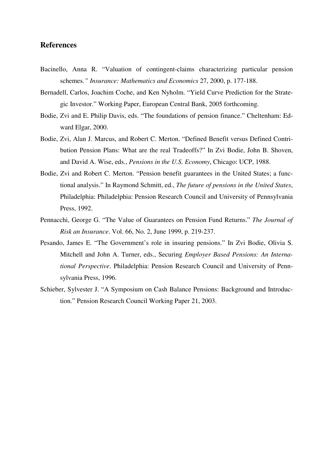## **References**

- Bacinello, Anna R. "Valuation of contingent-claims characterizing particular pension schemes*." Insurance: Mathematics and Economics* 27, 2000, p. 177-188.
- Bernadell, Carlos, Joachim Coche, and Ken Nyholm. "Yield Curve Prediction for the Strategic Investor." Working Paper, European Central Bank, 2005 forthcoming.
- Bodie, Zvi and E. Philip Davis, eds. "The foundations of pension finance." Cheltenham: Edward Elgar, 2000.
- Bodie, Zvi, Alan J. Marcus, and Robert C. Merton. "Defined Benefit versus Defined Contribution Pension Plans: What are the real Tradeoffs?" In Zvi Bodie, John B. Shoven, and David A. Wise, eds., *Pensions in the U.S. Economy*, Chicago: UCP, 1988.
- Bodie, Zvi and Robert C. Merton. "Pension benefit guarantees in the United States; a functional analysis." In Raymond Schmitt, ed., *The future of pensions in the United States*, Philadelphia: Philadelphia: Pension Research Council and University of Pennsylvania Press, 1992.
- Pennacchi, George G. "The Value of Guarantees on Pension Fund Returns." *The Journal of Risk an Insurance*. Vol. 66, No. 2, June 1999, p. 219-237.
- Pesando, James E. "The Government's role in insuring pensions." In Zvi Bodie, Olivia S. Mitchell and John A. Turner, eds., Securing *Employer Based Pensions: An International Perspective*. Philadelphia: Pension Research Council and University of Pennsylvania Press, 1996.
- Schieber, Sylvester J. "A Symposium on Cash Balance Pensions: Background and Introduction." Pension Research Council Working Paper 21, 2003.